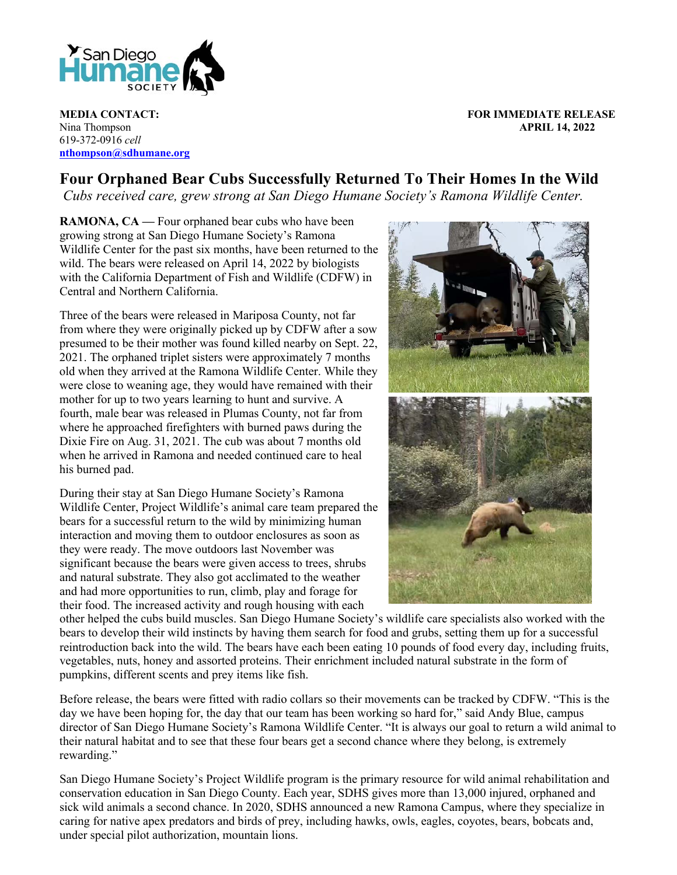

Nina Thompson **APRIL 14, 2022** 619-372-0916 *cell* **nthompson@sdhumane.org**

**MEDIA CONTACT: FOR IMMEDIATE RELEASE**

## **Four Orphaned Bear Cubs Successfully Returned To Their Homes In the Wild**

*Cubs received care, grew strong at San Diego Humane Society's Ramona Wildlife Center.*

**RAMONA, CA —** Four orphaned bear cubs who have been growing strong at San Diego Humane Society's Ramona Wildlife Center for the past six months, have been returned to the wild. The bears were released on April 14, 2022 by biologists with the California Department of Fish and Wildlife (CDFW) in Central and Northern California.

Three of the bears were released in Mariposa County, not far from where they were originally picked up by CDFW after a sow presumed to be their mother was found killed nearby on Sept. 22, 2021. The orphaned triplet sisters were approximately 7 months old when they arrived at the Ramona Wildlife Center. While they were close to weaning age, they would have remained with their mother for up to two years learning to hunt and survive. A fourth, male bear was released in Plumas County, not far from where he approached firefighters with burned paws during the Dixie Fire on Aug. 31, 2021. The cub was about 7 months old when he arrived in Ramona and needed continued care to heal his burned pad.

During their stay at San Diego Humane Society's Ramona Wildlife Center, Project Wildlife's animal care team prepared the bears for a successful return to the wild by minimizing human interaction and moving them to outdoor enclosures as soon as they were ready. The move outdoors last November was significant because the bears were given access to trees, shrubs and natural substrate. They also got acclimated to the weather and had more opportunities to run, climb, play and forage for their food. The increased activity and rough housing with each



other helped the cubs build muscles. San Diego Humane Society's wildlife care specialists also worked with the bears to develop their wild instincts by having them search for food and grubs, setting them up for a successful reintroduction back into the wild. The bears have each been eating 10 pounds of food every day, including fruits, vegetables, nuts, honey and assorted proteins. Their enrichment included natural substrate in the form of pumpkins, different scents and prey items like fish.

Before release, the bears were fitted with radio collars so their movements can be tracked by CDFW. "This is the day we have been hoping for, the day that our team has been working so hard for," said Andy Blue, campus director of San Diego Humane Society's Ramona Wildlife Center. "It is always our goal to return a wild animal to their natural habitat and to see that these four bears get a second chance where they belong, is extremely rewarding."

San Diego Humane Society's Project Wildlife program is the primary resource for wild animal rehabilitation and conservation education in San Diego County. Each year, SDHS gives more than 13,000 injured, orphaned and sick wild animals a second chance. In 2020, SDHS announced a new Ramona Campus, where they specialize in caring for native apex predators and birds of prey, including hawks, owls, eagles, coyotes, bears, bobcats and, under special pilot authorization, mountain lions.